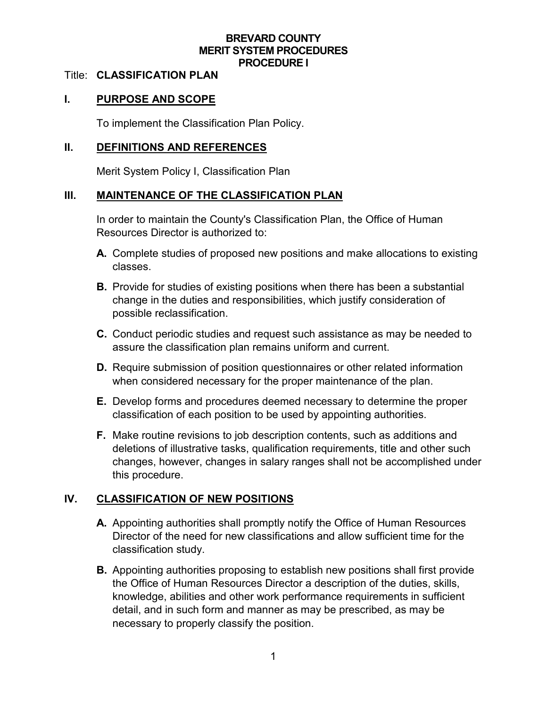### **BREVARD COUNTY MERIT SYSTEM PROCEDURES PROCEDURE I**

#### Title: **CLASSIFICATION PLAN**

### **I. PURPOSE AND SCOPE**

To implement the Classification Plan Policy.

#### **II. DEFINITIONS AND REFERENCES**

Merit System Policy I, Classification Plan

### **III. MAINTENANCE OF THE CLASSIFICATION PLAN**

In order to maintain the County's Classification Plan, the Office of Human Resources Director is authorized to:

- **A.** Complete studies of proposed new positions and make allocations to existing classes.
- **B.** Provide for studies of existing positions when there has been a substantial change in the duties and responsibilities, which justify consideration of possible reclassification.
- **C.** Conduct periodic studies and request such assistance as may be needed to assure the classification plan remains uniform and current.
- **D.** Require submission of position questionnaires or other related information when considered necessary for the proper maintenance of the plan.
- **E.** Develop forms and procedures deemed necessary to determine the proper classification of each position to be used by appointing authorities.
- **F.** Make routine revisions to job description contents, such as additions and deletions of illustrative tasks, qualification requirements, title and other such changes, however, changes in salary ranges shall not be accomplished under this procedure.

### **IV. CLASSIFICATION OF NEW POSITIONS**

- **A.** Appointing authorities shall promptly notify the Office of Human Resources Director of the need for new classifications and allow sufficient time for the classification study.
- **B.** Appointing authorities proposing to establish new positions shall first provide the Office of Human Resources Director a description of the duties, skills, knowledge, abilities and other work performance requirements in sufficient detail, and in such form and manner as may be prescribed, as may be necessary to properly classify the position.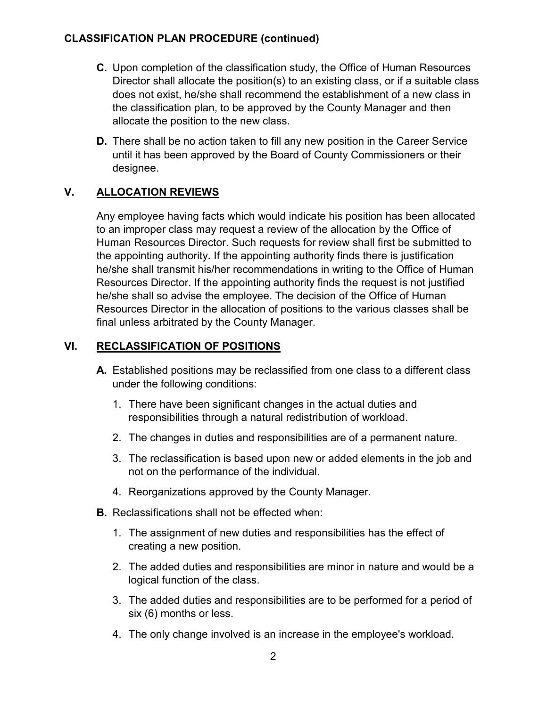## **CLASSIFICATION PLAN PROCEDURE (continued)**

- **C.** Upon completion of the classification study, the Office of Human Resources Director shall allocate the position(s) to an existing class, or if a suitable class does not exist, he/she shall recommend the establishment of a new class in the classification plan, to be approved by the County Manager and then allocate the position to the new class.
- **D.** There shall be no action taken to fill any new position in the Career Service until it has been approved by the Board of County Commissioners or their designee.

# **V. ALLOCATION REVIEWS**

Any employee having facts which would indicate his position has been allocated to an improper class may request a review of the allocation by the Office of Human Resources Director. Such requests for review shall first be submitted to the appointing authority. If the appointing authority finds there is justification he/she shall transmit his/her recommendations in writing to the Office of Human Resources Director. If the appointing authority finds the request is not justified he/she shall so advise the employee. The decision of the Office of Human Resources Director in the allocation of positions to the various classes shall be final unless arbitrated by the County Manager.

### **VI. RECLASSIFICATION OF POSITIONS**

- **A.** Established positions may be reclassified from one class to a different class under the following conditions:
	- 1. There have been significant changes in the actual duties and responsibilities through a natural redistribution of workload.
	- 2. The changes in duties and responsibilities are of a permanent nature.
	- 3. The reclassification is based upon new or added elements in the job and not on the performance of the individual.
	- 4. Reorganizations approved by the County Manager.
- **B.** Reclassifications shall not be effected when:
	- 1. The assignment of new duties and responsibilities has the effect of creating a new position.
	- 2. The added duties and responsibilities are minor in nature and would be a logical function of the class.
	- 3. The added duties and responsibilities are to be performed for a period of six (6) months or less.
	- 4. The only change involved is an increase in the employee's workload.